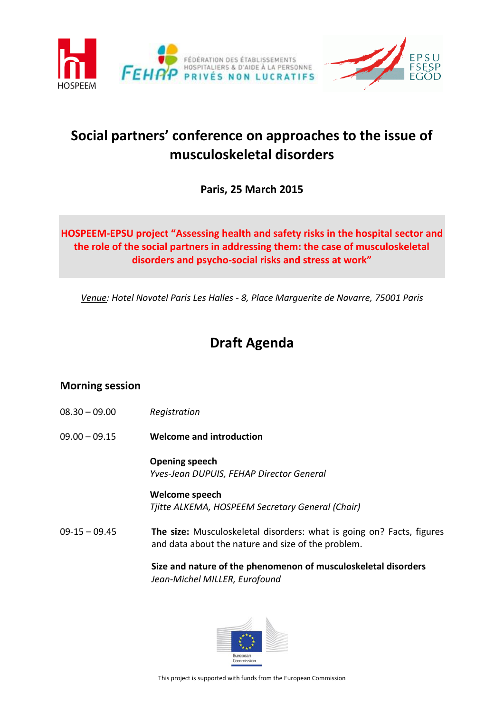



# **Social partners' conference on approaches to the issue of musculoskeletal disorders**

**Paris, 25 March 2015**

## **HOSPEEM-EPSU project "Assessing health and safety risks in the hospital sector and the role of the social partners in addressing them: the case of musculoskeletal disorders and psycho-social risks and stress at work"**

*Venue: Hotel Novotel Paris Les Halles - 8, Place Marguerite de Navarre, 75001 Paris*

# **Draft Agenda**

## **Morning session**

- 08.30 09.00 *Registration*
- 09.00 09.15 **Welcome and introduction**

**Opening speech** *Yves-Jean DUPUIS, FEHAP Director General*

**Welcome speech**  *Tjitte ALKEMA, HOSPEEM Secretary General (Chair)*

09-15 – 09.45 **The size:** Musculoskeletal disorders: what is going on? Facts, figures and data about the nature and size of the problem.

> **Size and nature of the phenomenon of musculoskeletal disorders** *Jean-Michel MILLER, Eurofound*

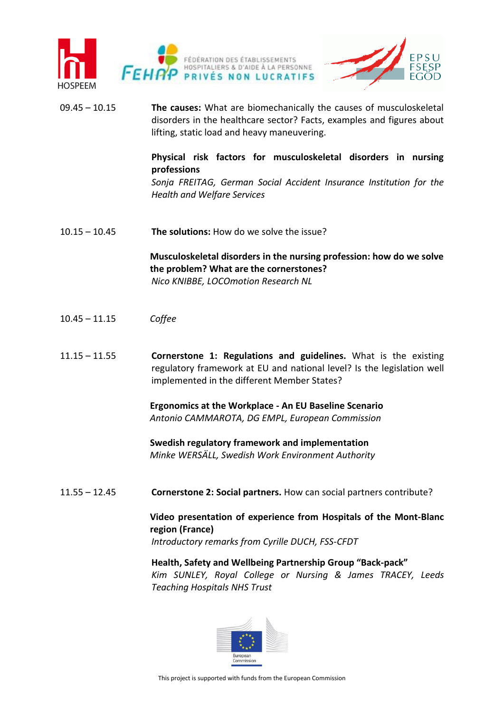



09.45 – 10.15 **The causes:** What are biomechanically the causes of musculoskeletal disorders in the healthcare sector? Facts, examples and figures about lifting, static load and heavy maneuvering.

### **Physical risk factors for musculoskeletal disorders in nursing professions**

*Sonja FREITAG, German Social Accident Insurance Institution for the Health and Welfare Services*

10.15 – 10.45 **The solutions:** How do we solve the issue?

**Musculoskeletal disorders in the nursing profession: how do we solve the problem? What are the cornerstones?**  *Nico KNIBBE, LOCOmotion Research NL*

- 10.45 11.15 *Coffee*
- 11.15 11.55 **Cornerstone 1: Regulations and guidelines.** What is the existing regulatory framework at EU and national level? Is the legislation well implemented in the different Member States?

**Ergonomics at the Workplace - An EU Baseline Scenario** *Antonio CAMMAROTA, DG EMPL, European Commission*

**Swedish regulatory framework and implementation** *Minke WERSÄLL, Swedish Work Environment Authority*

11.55 – 12.45 **Cornerstone 2: Social partners.** How can social partners contribute?

**Video presentation of experience from Hospitals of the Mont-Blanc region (France)**

*Introductory remarks from Cyrille DUCH, FSS-CFDT* 

**Health, Safety and Wellbeing Partnership Group "Back-pack"** *Kim SUNLEY, Royal College or Nursing & James TRACEY, Leeds Teaching Hospitals NHS Trust*

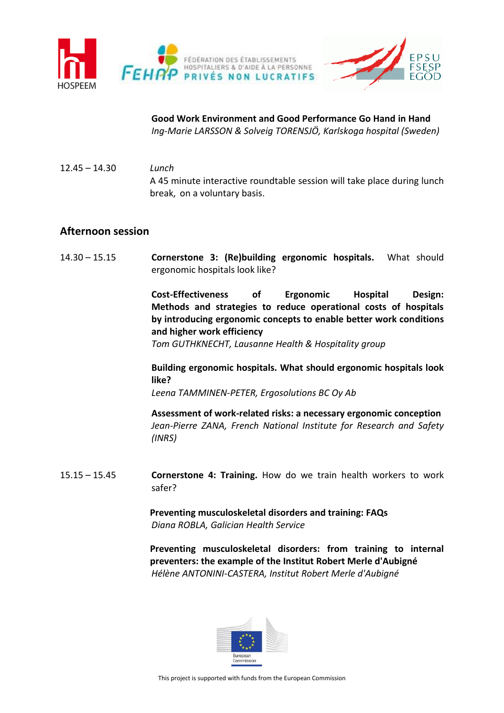

**Good Work Environment and Good Performance Go Hand in Hand** *Ing-Marie LARSSON & Solveig TORENSJÖ, Karlskoga hospital (Sweden)*

12.45 – 14.30 *Lunch* A 45 minute interactive roundtable session will take place during lunch break, on a voluntary basis.

### **Afternoon session**

14.30 – 15.15 **Cornerstone 3: (Re)building ergonomic hospitals.** What should ergonomic hospitals look like?

> **Cost-Effectiveness of Ergonomic Hospital Design: Methods and strategies to reduce operational costs of hospitals by introducing ergonomic concepts to enable better work conditions and higher work efficiency**

*Tom GUTHKNECHT, Lausanne Health & Hospitality group*

**Building ergonomic hospitals. What should ergonomic hospitals look like?**

*Leena TAMMINEN-PETER, Ergosolutions BC Oy Ab*

**Assessment of work-related risks: a necessary ergonomic conception** *Jean-Pierre ZANA, French National Institute for Research and Safety (INRS)*

15.15 – 15.45 **Cornerstone 4: Training.** How do we train health workers to work safer?

> **Preventing musculoskeletal disorders and training: FAQs** *Diana ROBLA, Galician Health Service*

**Preventing musculoskeletal disorders: from training to internal preventers: the example of the Institut Robert Merle d'Aubigné** *Hélène ANTONINI-CASTERA, Institut Robert Merle d'Aubigné*